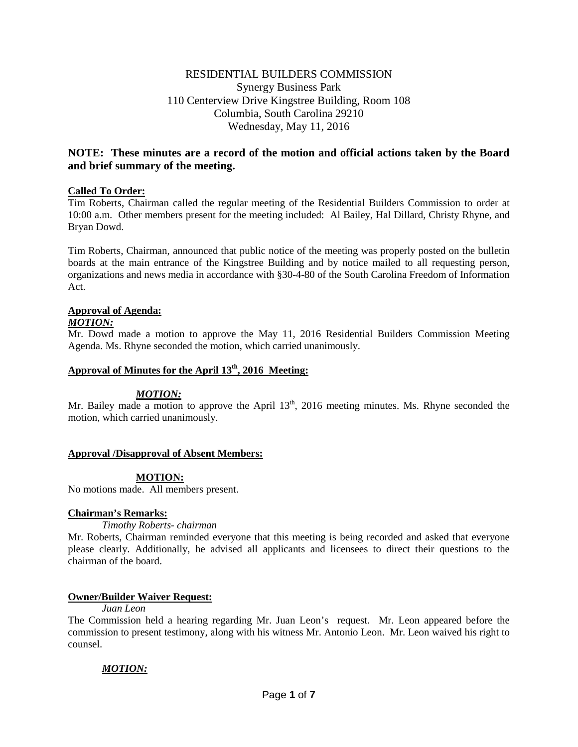# RESIDENTIAL BUILDERS COMMISSION Synergy Business Park 110 Centerview Drive Kingstree Building, Room 108 Columbia, South Carolina 29210 Wednesday, May 11, 2016

# **NOTE: These minutes are a record of the motion and official actions taken by the Board and brief summary of the meeting.**

## **Called To Order:**

Tim Roberts, Chairman called the regular meeting of the Residential Builders Commission to order at 10:00 a.m. Other members present for the meeting included: Al Bailey, Hal Dillard, Christy Rhyne, and Bryan Dowd.

Tim Roberts, Chairman, announced that public notice of the meeting was properly posted on the bulletin boards at the main entrance of the Kingstree Building and by notice mailed to all requesting person, organizations and news media in accordance with §30-4-80 of the South Carolina Freedom of Information Act.

# **Approval of Agenda:**

## *MOTION:*

Mr. Dowd made a motion to approve the May 11, 2016 Residential Builders Commission Meeting Agenda. Ms. Rhyne seconded the motion, which carried unanimously.

# Approval of Minutes for the April 13<sup>th</sup>, 2016 Meeting:

# *MOTION:*

Mr. Bailey made a motion to approve the April  $13<sup>th</sup>$ , 2016 meeting minutes. Ms. Rhyne seconded the motion, which carried unanimously.

## **Approval /Disapproval of Absent Members:**

# **MOTION:**

No motions made. All members present.

# **Chairman's Remarks:**

*Timothy Roberts- chairman*

Mr. Roberts, Chairman reminded everyone that this meeting is being recorded and asked that everyone please clearly. Additionally, he advised all applicants and licensees to direct their questions to the chairman of the board.

## **Owner/Builder Waiver Request:**

## *Juan Leon*

The Commission held a hearing regarding Mr. Juan Leon's request. Mr. Leon appeared before the commission to present testimony, along with his witness Mr. Antonio Leon. Mr. Leon waived his right to counsel.

# *MOTION:*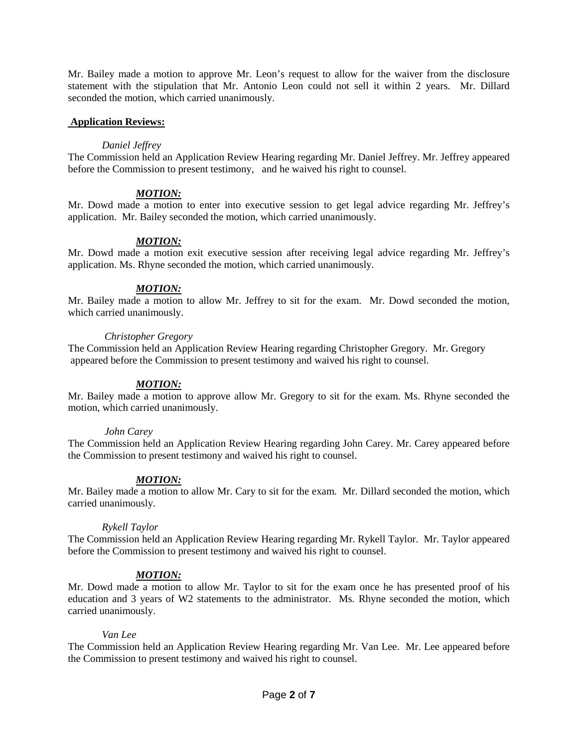Mr. Bailey made a motion to approve Mr. Leon's request to allow for the waiver from the disclosure statement with the stipulation that Mr. Antonio Leon could not sell it within 2 years. Mr. Dillard seconded the motion, which carried unanimously.

## **Application Reviews:**

#### *Daniel Jeffrey*

The Commission held an Application Review Hearing regarding Mr. Daniel Jeffrey. Mr. Jeffrey appeared before the Commission to present testimony, and he waived his right to counsel.

## *MOTION:*

Mr. Dowd made a motion to enter into executive session to get legal advice regarding Mr. Jeffrey's application. Mr. Bailey seconded the motion, which carried unanimously.

## *MOTION:*

Mr. Dowd made a motion exit executive session after receiving legal advice regarding Mr. Jeffrey's application. Ms. Rhyne seconded the motion, which carried unanimously.

## *MOTION:*

Mr. Bailey made a motion to allow Mr. Jeffrey to sit for the exam. Mr. Dowd seconded the motion, which carried unanimously.

#### *Christopher Gregory*

The Commission held an Application Review Hearing regarding Christopher Gregory. Mr. Gregory appeared before the Commission to present testimony and waived his right to counsel.

## *MOTION:*

Mr. Bailey made a motion to approve allow Mr. Gregory to sit for the exam. Ms. Rhyne seconded the motion, which carried unanimously.

#### *John Carey*

The Commission held an Application Review Hearing regarding John Carey. Mr. Carey appeared before the Commission to present testimony and waived his right to counsel.

## *MOTION:*

Mr. Bailey made a motion to allow Mr. Cary to sit for the exam. Mr. Dillard seconded the motion, which carried unanimously.

#### *Rykell Taylor*

The Commission held an Application Review Hearing regarding Mr. Rykell Taylor. Mr. Taylor appeared before the Commission to present testimony and waived his right to counsel.

## *MOTION:*

Mr. Dowd made a motion to allow Mr. Taylor to sit for the exam once he has presented proof of his education and 3 years of W2 statements to the administrator. Ms. Rhyne seconded the motion, which carried unanimously.

#### *Van Lee*

The Commission held an Application Review Hearing regarding Mr. Van Lee. Mr. Lee appeared before the Commission to present testimony and waived his right to counsel.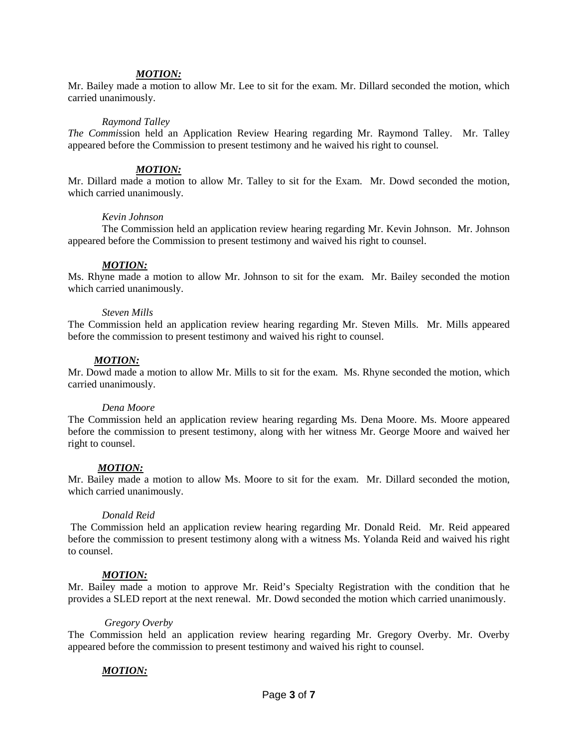#### *MOTION:*

Mr. Bailey made a motion to allow Mr. Lee to sit for the exam. Mr. Dillard seconded the motion, which carried unanimously.

#### *Raymond Talley*

*The Commi*ssion held an Application Review Hearing regarding Mr. Raymond Talley. Mr. Talley appeared before the Commission to present testimony and he waived his right to counsel.

## *MOTION:*

Mr. Dillard made a motion to allow Mr. Talley to sit for the Exam. Mr. Dowd seconded the motion, which carried unanimously.

#### *Kevin Johnson*

The Commission held an application review hearing regarding Mr. Kevin Johnson. Mr. Johnson appeared before the Commission to present testimony and waived his right to counsel.

#### *MOTION:*

Ms. Rhyne made a motion to allow Mr. Johnson to sit for the exam. Mr. Bailey seconded the motion which carried unanimously.

#### *Steven Mills*

The Commission held an application review hearing regarding Mr. Steven Mills. Mr. Mills appeared before the commission to present testimony and waived his right to counsel.

#### *MOTION:*

Mr. Dowd made a motion to allow Mr. Mills to sit for the exam. Ms. Rhyne seconded the motion, which carried unanimously.

#### *Dena Moore*

The Commission held an application review hearing regarding Ms. Dena Moore. Ms. Moore appeared before the commission to present testimony, along with her witness Mr. George Moore and waived her right to counsel.

#### *MOTION:*

Mr. Bailey made a motion to allow Ms. Moore to sit for the exam. Mr. Dillard seconded the motion, which carried unanimously.

#### *Donald Reid*

The Commission held an application review hearing regarding Mr. Donald Reid. Mr. Reid appeared before the commission to present testimony along with a witness Ms. Yolanda Reid and waived his right to counsel.

#### *MOTION:*

Mr. Bailey made a motion to approve Mr. Reid's Specialty Registration with the condition that he provides a SLED report at the next renewal. Mr. Dowd seconded the motion which carried unanimously.

#### *Gregory Overby*

The Commission held an application review hearing regarding Mr. Gregory Overby. Mr. Overby appeared before the commission to present testimony and waived his right to counsel.

#### *MOTION:*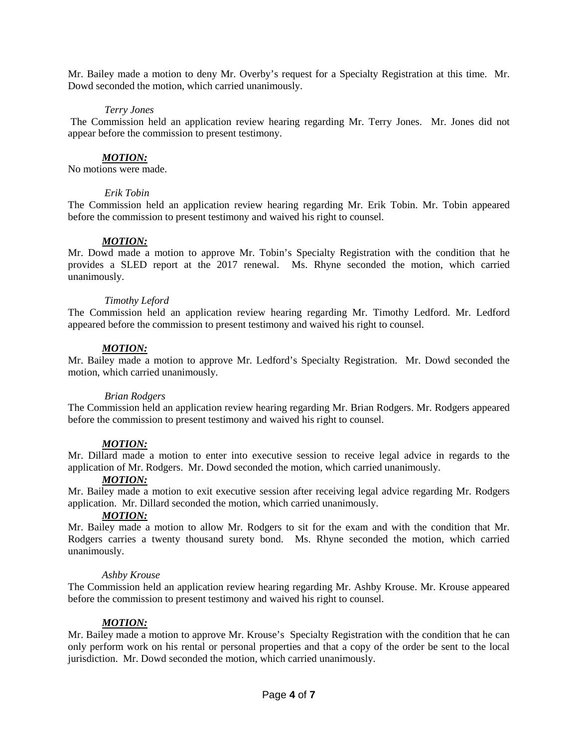Mr. Bailey made a motion to deny Mr. Overby's request for a Specialty Registration at this time. Mr. Dowd seconded the motion, which carried unanimously.

## *Terry Jones*

The Commission held an application review hearing regarding Mr. Terry Jones. Mr. Jones did not appear before the commission to present testimony.

## *MOTION:*

No motions were made.

## *Erik Tobin*

The Commission held an application review hearing regarding Mr. Erik Tobin. Mr. Tobin appeared before the commission to present testimony and waived his right to counsel.

## *MOTION:*

Mr. Dowd made a motion to approve Mr. Tobin's Specialty Registration with the condition that he provides a SLED report at the 2017 renewal. Ms. Rhyne seconded the motion, which carried unanimously.

## *Timothy Leford*

The Commission held an application review hearing regarding Mr. Timothy Ledford. Mr. Ledford appeared before the commission to present testimony and waived his right to counsel.

## *MOTION:*

Mr. Bailey made a motion to approve Mr. Ledford's Specialty Registration. Mr. Dowd seconded the motion, which carried unanimously.

#### *Brian Rodgers*

The Commission held an application review hearing regarding Mr. Brian Rodgers. Mr. Rodgers appeared before the commission to present testimony and waived his right to counsel.

## *MOTION:*

Mr. Dillard made a motion to enter into executive session to receive legal advice in regards to the application of Mr. Rodgers. Mr. Dowd seconded the motion, which carried unanimously.

## *MOTION:*

Mr. Bailey made a motion to exit executive session after receiving legal advice regarding Mr. Rodgers application. Mr. Dillard seconded the motion, which carried unanimously.

#### *MOTION:*

Mr. Bailey made a motion to allow Mr. Rodgers to sit for the exam and with the condition that Mr. Rodgers carries a twenty thousand surety bond. Ms. Rhyne seconded the motion, which carried unanimously.

#### *Ashby Krouse*

The Commission held an application review hearing regarding Mr. Ashby Krouse. Mr. Krouse appeared before the commission to present testimony and waived his right to counsel.

## *MOTION:*

Mr. Bailey made a motion to approve Mr. Krouse's Specialty Registration with the condition that he can only perform work on his rental or personal properties and that a copy of the order be sent to the local jurisdiction. Mr. Dowd seconded the motion, which carried unanimously.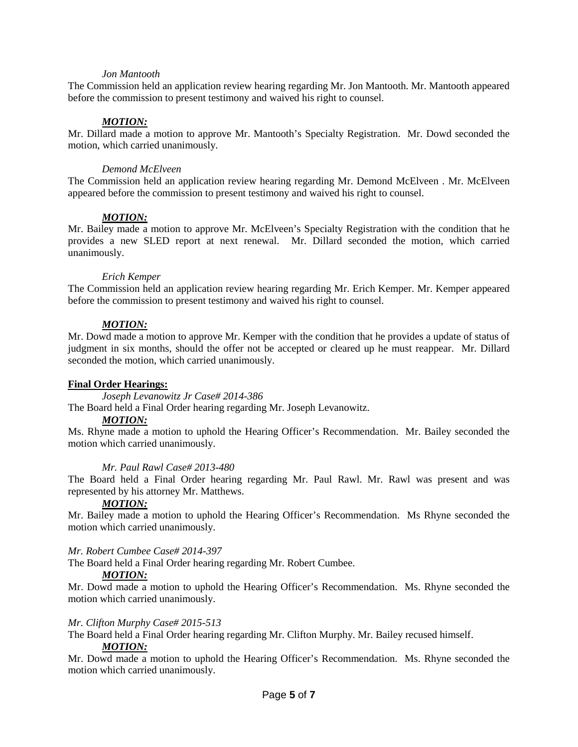## *Jon Mantooth*

The Commission held an application review hearing regarding Mr. Jon Mantooth. Mr. Mantooth appeared before the commission to present testimony and waived his right to counsel.

## *MOTION:*

Mr. Dillard made a motion to approve Mr. Mantooth's Specialty Registration. Mr. Dowd seconded the motion, which carried unanimously.

## *Demond McElveen*

The Commission held an application review hearing regarding Mr. Demond McElveen . Mr. McElveen appeared before the commission to present testimony and waived his right to counsel.

## *MOTION:*

Mr. Bailey made a motion to approve Mr. McElveen's Specialty Registration with the condition that he provides a new SLED report at next renewal. Mr. Dillard seconded the motion, which carried unanimously.

## *Erich Kemper*

The Commission held an application review hearing regarding Mr. Erich Kemper. Mr. Kemper appeared before the commission to present testimony and waived his right to counsel.

## *MOTION:*

Mr. Dowd made a motion to approve Mr. Kemper with the condition that he provides a update of status of judgment in six months, should the offer not be accepted or cleared up he must reappear. Mr. Dillard seconded the motion, which carried unanimously.

## **Final Order Hearings:**

*Joseph Levanowitz Jr Case# 2014-386*

The Board held a Final Order hearing regarding Mr. Joseph Levanowitz.

#### *MOTION:*

Ms. Rhyne made a motion to uphold the Hearing Officer's Recommendation. Mr. Bailey seconded the motion which carried unanimously.

#### *Mr. Paul Rawl Case# 2013-480*

The Board held a Final Order hearing regarding Mr. Paul Rawl. Mr. Rawl was present and was represented by his attorney Mr. Matthews.

# *MOTION:*

Mr. Bailey made a motion to uphold the Hearing Officer's Recommendation. Ms Rhyne seconded the motion which carried unanimously.

#### *Mr. Robert Cumbee Case# 2014-397*

The Board held a Final Order hearing regarding Mr. Robert Cumbee.

#### *MOTION:*

Mr. Dowd made a motion to uphold the Hearing Officer's Recommendation. Ms. Rhyne seconded the motion which carried unanimously.

#### *Mr. Clifton Murphy Case# 2015-513*

The Board held a Final Order hearing regarding Mr. Clifton Murphy. Mr. Bailey recused himself.

#### *MOTION:*

Mr. Dowd made a motion to uphold the Hearing Officer's Recommendation. Ms. Rhyne seconded the motion which carried unanimously.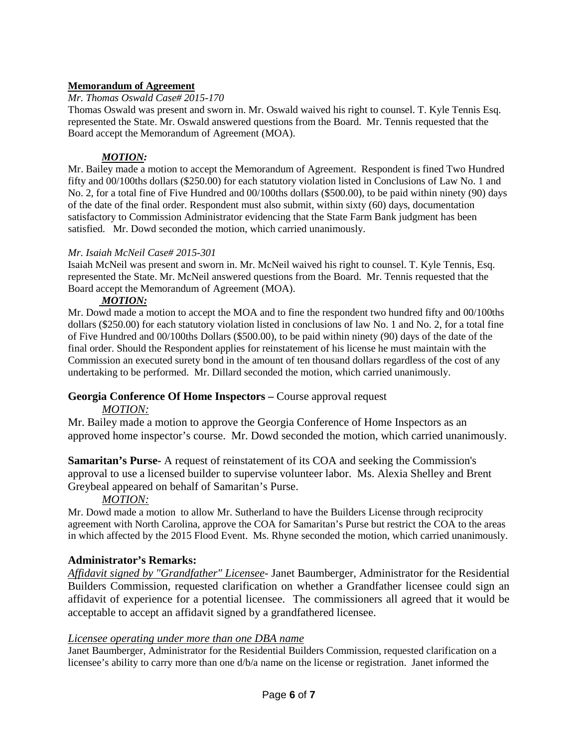# **Memorandum of Agreement**

## *Mr. Thomas Oswald Case# 2015-170*

Thomas Oswald was present and sworn in. Mr. Oswald waived his right to counsel. T. Kyle Tennis Esq. represented the State. Mr. Oswald answered questions from the Board. Mr. Tennis requested that the Board accept the Memorandum of Agreement (MOA).

## *MOTION:*

Mr. Bailey made a motion to accept the Memorandum of Agreement. Respondent is fined Two Hundred fifty and 00/100ths dollars (\$250.00) for each statutory violation listed in Conclusions of Law No. 1 and No. 2, for a total fine of Five Hundred and 00/100ths dollars (\$500.00), to be paid within ninety (90) days of the date of the final order. Respondent must also submit, within sixty (60) days, documentation satisfactory to Commission Administrator evidencing that the State Farm Bank judgment has been satisfied. Mr. Dowd seconded the motion, which carried unanimously.

## *Mr. Isaiah McNeil Case# 2015-301*

Isaiah McNeil was present and sworn in. Mr. McNeil waived his right to counsel. T. Kyle Tennis, Esq. represented the State. Mr. McNeil answered questions from the Board. Mr. Tennis requested that the Board accept the Memorandum of Agreement (MOA).

## *MOTION:*

Mr. Dowd made a motion to accept the MOA and to fine the respondent two hundred fifty and 00/100ths dollars (\$250.00) for each statutory violation listed in conclusions of law No. 1 and No. 2, for a total fine of Five Hundred and 00/100ths Dollars (\$500.00), to be paid within ninety (90) days of the date of the final order. Should the Respondent applies for reinstatement of his license he must maintain with the Commission an executed surety bond in the amount of ten thousand dollars regardless of the cost of any undertaking to be performed. Mr. Dillard seconded the motion, which carried unanimously.

# **Georgia Conference Of Home Inspectors –** Course approval request

# *MOTION:*

Mr. Bailey made a motion to approve the Georgia Conference of Home Inspectors as an approved home inspector's course. Mr. Dowd seconded the motion, which carried unanimously.

**Samaritan's Purse-** A request of reinstatement of its COA and seeking the Commission's approval to use a licensed builder to supervise volunteer labor. Ms. Alexia Shelley and Brent Greybeal appeared on behalf of Samaritan's Purse.

# *MOTION:*

Mr. Dowd made a motion to allow Mr. Sutherland to have the Builders License through reciprocity agreement with North Carolina, approve the COA for Samaritan's Purse but restrict the COA to the areas in which affected by the 2015 Flood Event. Ms. Rhyne seconded the motion, which carried unanimously.

# **Administrator's Remarks:**

*Affidavit signed by "Grandfather" Licensee*- Janet Baumberger, Administrator for the Residential Builders Commission, requested clarification on whether a Grandfather licensee could sign an affidavit of experience for a potential licensee. The commissioners all agreed that it would be acceptable to accept an affidavit signed by a grandfathered licensee.

# *Licensee operating under more than one DBA name*

Janet Baumberger, Administrator for the Residential Builders Commission, requested clarification on a licensee's ability to carry more than one d/b/a name on the license or registration. Janet informed the